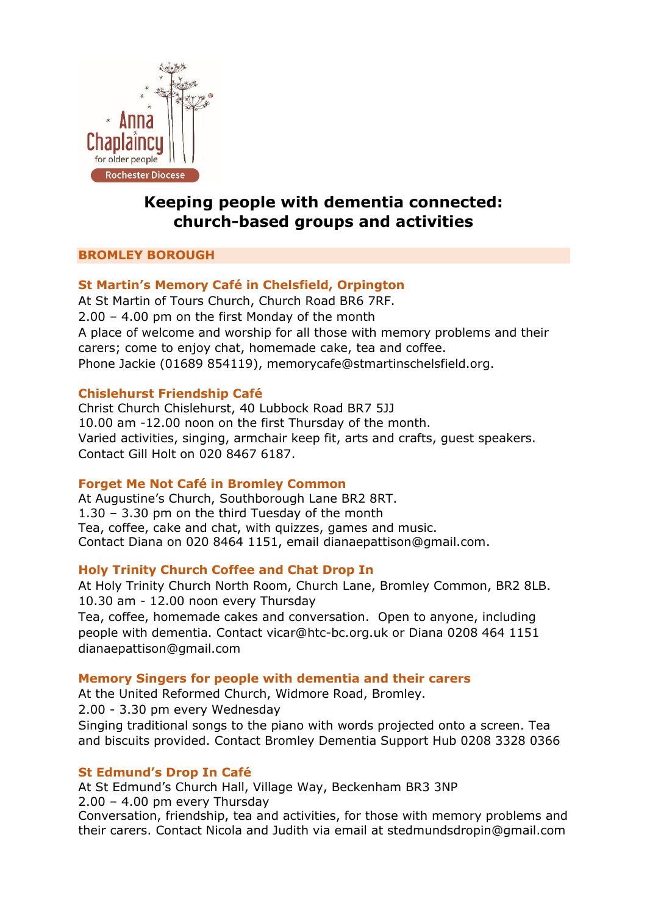

# **Keeping people with dementia connected: church-based groups and activities**

# **BROMLEY BOROUGH**

# **St Martin's Memory Café in Chelsfield, Orpington**

At St Martin of Tours Church, Church Road BR6 7RF. 2.00 – 4.00 pm on the first Monday of the month A place of welcome and worship for all those with memory problems and their carers; come to enjoy chat, homemade cake, tea and coffee. Phone Jackie (01689 854119), [memorycafe@stmartinschelsfield.org.](mailto:memorycafe@stmartinschelsfield.org)

## **Chislehurst Friendship Café**

Christ Church Chislehurst, 40 Lubbock Road BR7 5JJ 10.00 am -12.00 noon on the first Thursday of the month. Varied activities, singing, armchair keep fit, arts and crafts, guest speakers. Contact Gill Holt on 020 8467 6187.

## **Forget Me Not Café in Bromley Common**

At Augustine's Church, Southborough Lane BR2 8RT. 1.30 – 3.30 pm on the third Tuesday of the month Tea, coffee, cake and chat, with quizzes, games and music. Contact Diana on 020 8464 1151, email [dianaepattison@gmail.com.](mailto:dianaepattison@gmail.com)

## **Holy Trinity Church Coffee and Chat Drop In**

At Holy Trinity Church North Room, Church Lane, Bromley Common, BR2 8LB. 10.30 am - 12.00 noon every Thursday

Tea, coffee, homemade cakes and conversation. Open to anyone, including people with dementia. Contact [vicar@htc-bc.org.uk](mailto:vicar@htc-bc.org.uk) or Diana 0208 464 1151 [dianaepattison@gmail.com](mailto:dianaepattison@gmail.com)

## **Memory Singers for people with dementia and their carers**

At the United Reformed Church, Widmore Road, Bromley.

2.00 - 3.30 pm every Wednesday

Singing traditional songs to the piano with words projected onto a screen. Tea and biscuits provided. Contact Bromley Dementia Support Hub 0208 3328 0366

## **St Edmund's Drop In Café**

At St Edmund's Church Hall, Village Way, Beckenham BR3 3NP 2.00 – 4.00 pm every Thursday

Conversation, friendship, tea and activities, for those with memory problems and their carers. Contact Nicola and Judith via email at stedmundsdropin@gmail.com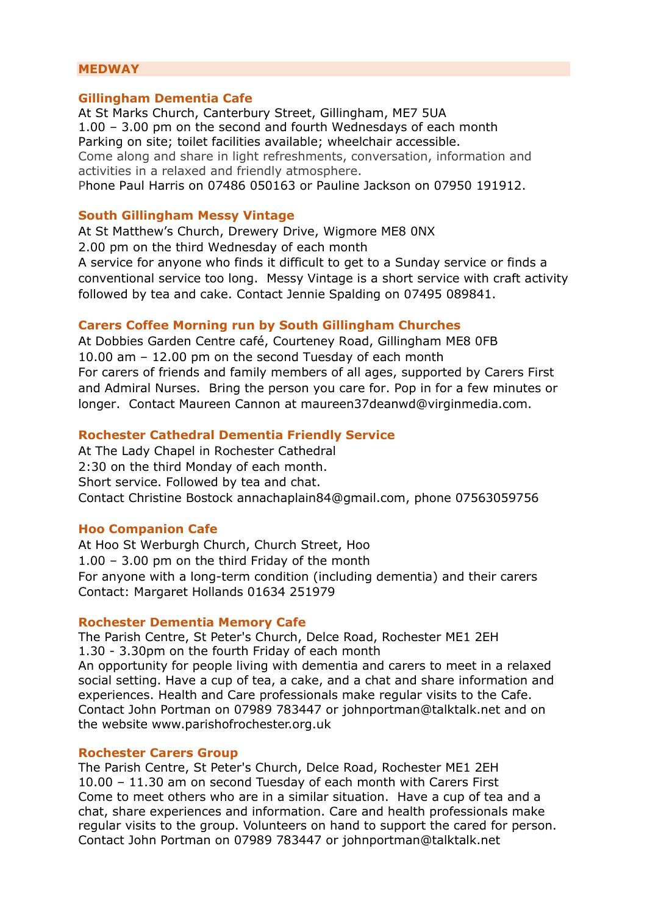## **MEDWAY**

#### **Gillingham Dementia Cafe**

At St Marks Church, Canterbury Street, Gillingham, ME7 5UA 1.00 – 3.00 pm on the second and fourth Wednesdays of each month Parking on site; toilet facilities available; wheelchair accessible. Come along and share in light refreshments, conversation, information and activities in a relaxed and friendly atmosphere. Phone Paul Harris on 07486 050163 or Pauline Jackson on 07950 191912.

#### **South Gillingham Messy Vintage**

At St Matthew's Church, Drewery Drive, Wigmore ME8 0NX 2.00 pm on the third Wednesday of each month A service for anyone who finds it difficult to get to a Sunday service or finds a conventional service too long. Messy Vintage is a short service with craft activity followed by tea and cake. Contact Jennie Spalding on 07495 089841.

#### **Carers Coffee Morning run by South Gillingham Churches**

At Dobbies Garden Centre café, Courteney Road, Gillingham ME8 0FB 10.00 am – 12.00 pm on the second Tuesday of each month For carers of friends and family members of all ages, supported by Carers First and Admiral Nurses. Bring the person you care for. Pop in for a few minutes or longer. Contact Maureen Cannon at maureen37deanwd@virginmedia.com.

#### **Rochester Cathedral Dementia Friendly Service**

At The Lady Chapel in Rochester Cathedral 2:30 on the third Monday of each month. Short service. Followed by tea and chat. Contact Christine Bostock [annachaplain84@gmail.com,](mailto:annachaplain84@gmail.com) phone 07563059756

#### **Hoo Companion Cafe**

At Hoo St Werburgh Church, Church Street, Hoo 1.00 – 3.00 pm on the third Friday of the month For anyone with a long-term condition (including dementia) and their carers Contact: Margaret Hollands 01634 251979

#### **Rochester Dementia Memory Cafe**

The Parish Centre, St Peter's Church, Delce Road, Rochester ME1 2EH 1.30 - 3.30pm on the fourth Friday of each month An opportunity for people living with dementia and carers to meet in a relaxed social setting. Have a cup of tea, a cake, and a chat and share information and experiences. Health and Care professionals make regular visits to the Cafe. Contact John Portman on 07989 783447 or [johnportman@talktalk.net](mailto:johnportman@talktalk.net) and on the website [www.parishofrochester.org.uk](http://www.parishofrochester.org.uk/) 

#### **Rochester Carers Group**

The Parish Centre, St Peter's Church, Delce Road, Rochester ME1 2EH 10.00 – 11.30 am on second Tuesday of each month with Carers First Come to meet others who are in a similar situation. Have a cup of tea and a chat, share experiences and information. Care and health professionals make regular visits to the group. Volunteers on hand to support the cared for person. Contact John Portman on 07989 783447 or [johnportman@talktalk.net](mailto:johnportman@talktalk.net)